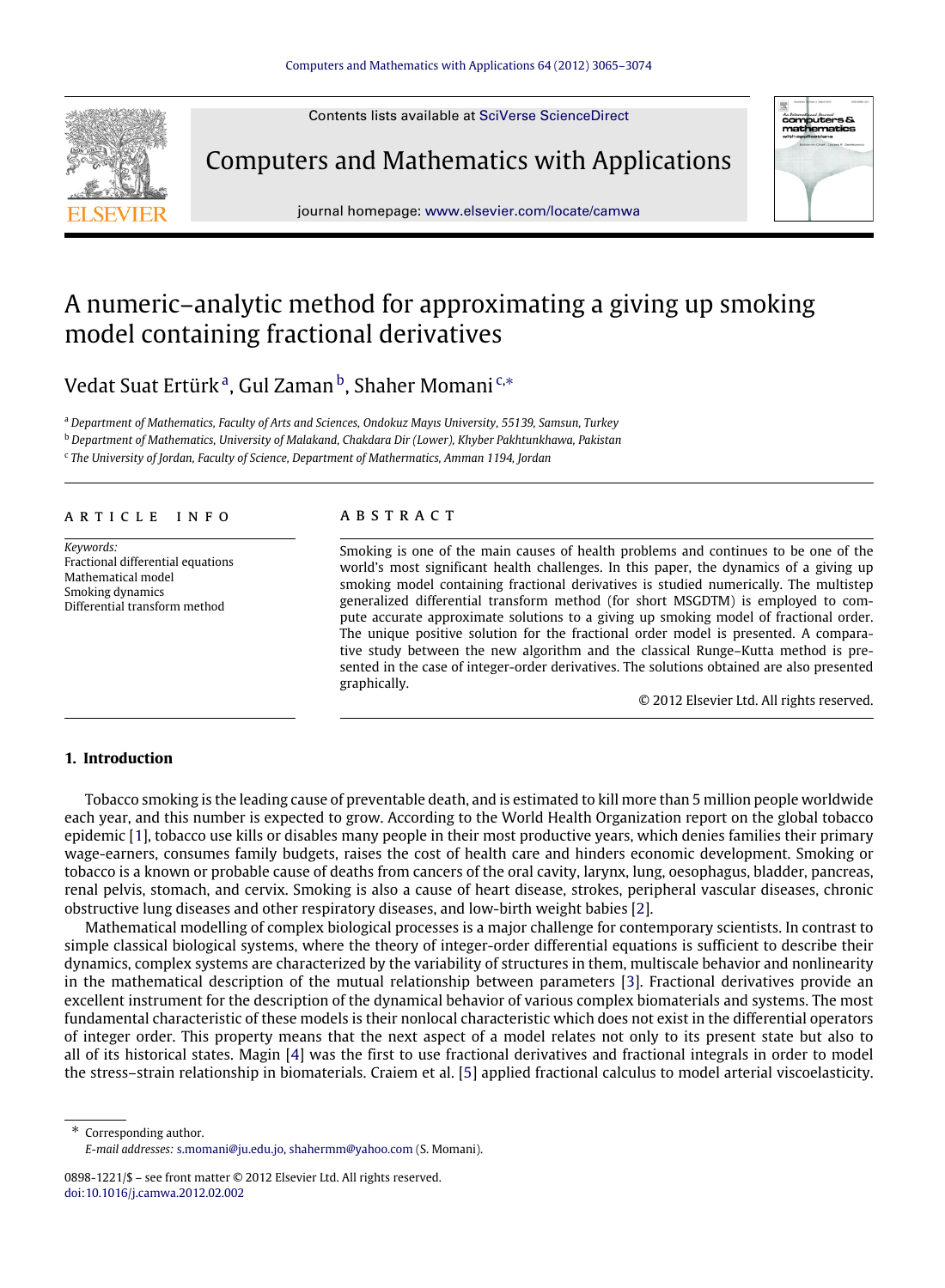Contents lists available at [SciVerse ScienceDirect](http://www.elsevier.com/locate/camwa)



Computers and Mathematics with Applications



journal homepage: [www.elsevier.com/locate/camwa](http://www.elsevier.com/locate/camwa)

# A numeric–analytic method for approximating a giving up smoking model containing fractional derivatives

Ved[a](#page-0-0)t Suat Ertürk<sup>a</sup>, Gul Zaman<sup>[b](#page-0-1)</sup>, Shaher Momani<sup>[c,](#page-0-2)</sup>\*

<span id="page-0-0"></span><sup>a</sup> *Department of Mathematics, Faculty of Arts and Sciences, Ondokuz Mayıs University, 55139, Samsun, Turkey*

<span id="page-0-1"></span><sup>b</sup> *Department of Mathematics, University of Malakand, Chakdara Dir (Lower), Khyber Pakhtunkhawa, Pakistan*

<span id="page-0-2"></span>c *The University of Jordan, Faculty of Science, Department of Mathermatics, Amman 1194, Jordan*

#### A R T I C L E I N F O

*Keywords:* Fractional differential equations Mathematical model Smoking dynamics Differential transform method

### a b s t r a c t

Smoking is one of the main causes of health problems and continues to be one of the world's most significant health challenges. In this paper, the dynamics of a giving up smoking model containing fractional derivatives is studied numerically. The multistep generalized differential transform method (for short MSGDTM) is employed to compute accurate approximate solutions to a giving up smoking model of fractional order. The unique positive solution for the fractional order model is presented. A comparative study between the new algorithm and the classical Runge–Kutta method is presented in the case of integer-order derivatives. The solutions obtained are also presented graphically.

© 2012 Elsevier Ltd. All rights reserved.

# **1. Introduction**

Tobacco smoking is the leading cause of preventable death, and is estimated to kill more than 5 million people worldwide each year, and this number is expected to grow. According to the World Health Organization report on the global tobacco epidemic [\[1\]](#page-8-0), tobacco use kills or disables many people in their most productive years, which denies families their primary wage-earners, consumes family budgets, raises the cost of health care and hinders economic development. Smoking or tobacco is a known or probable cause of deaths from cancers of the oral cavity, larynx, lung, oesophagus, bladder, pancreas, renal pelvis, stomach, and cervix. Smoking is also a cause of heart disease, strokes, peripheral vascular diseases, chronic obstructive lung diseases and other respiratory diseases, and low-birth weight babies [\[2\]](#page-8-1).

Mathematical modelling of complex biological processes is a major challenge for contemporary scientists. In contrast to simple classical biological systems, where the theory of integer-order differential equations is sufficient to describe their dynamics, complex systems are characterized by the variability of structures in them, multiscale behavior and nonlinearity in the mathematical description of the mutual relationship between parameters [\[3\]](#page-8-2). Fractional derivatives provide an excellent instrument for the description of the dynamical behavior of various complex biomaterials and systems. The most fundamental characteristic of these models is their nonlocal characteristic which does not exist in the differential operators of integer order. This property means that the next aspect of a model relates not only to its present state but also to all of its historical states. Magin [\[4\]](#page-8-3) was the first to use fractional derivatives and fractional integrals in order to model the stress–strain relationship in biomaterials. Craiem et al. [\[5\]](#page-8-4) applied fractional calculus to model arterial viscoelasticity.

<span id="page-0-3"></span>Corresponding author. *E-mail addresses:* [s.momani@ju.edu.jo,](mailto:s.momani@ju.edu.jo) [shahermm@yahoo.com](mailto:shahermm@yahoo.com) (S. Momani).

<sup>0898-1221/\$ –</sup> see front matter © 2012 Elsevier Ltd. All rights reserved. [doi:10.1016/j.camwa.2012.02.002](http://dx.doi.org/10.1016/j.camwa.2012.02.002)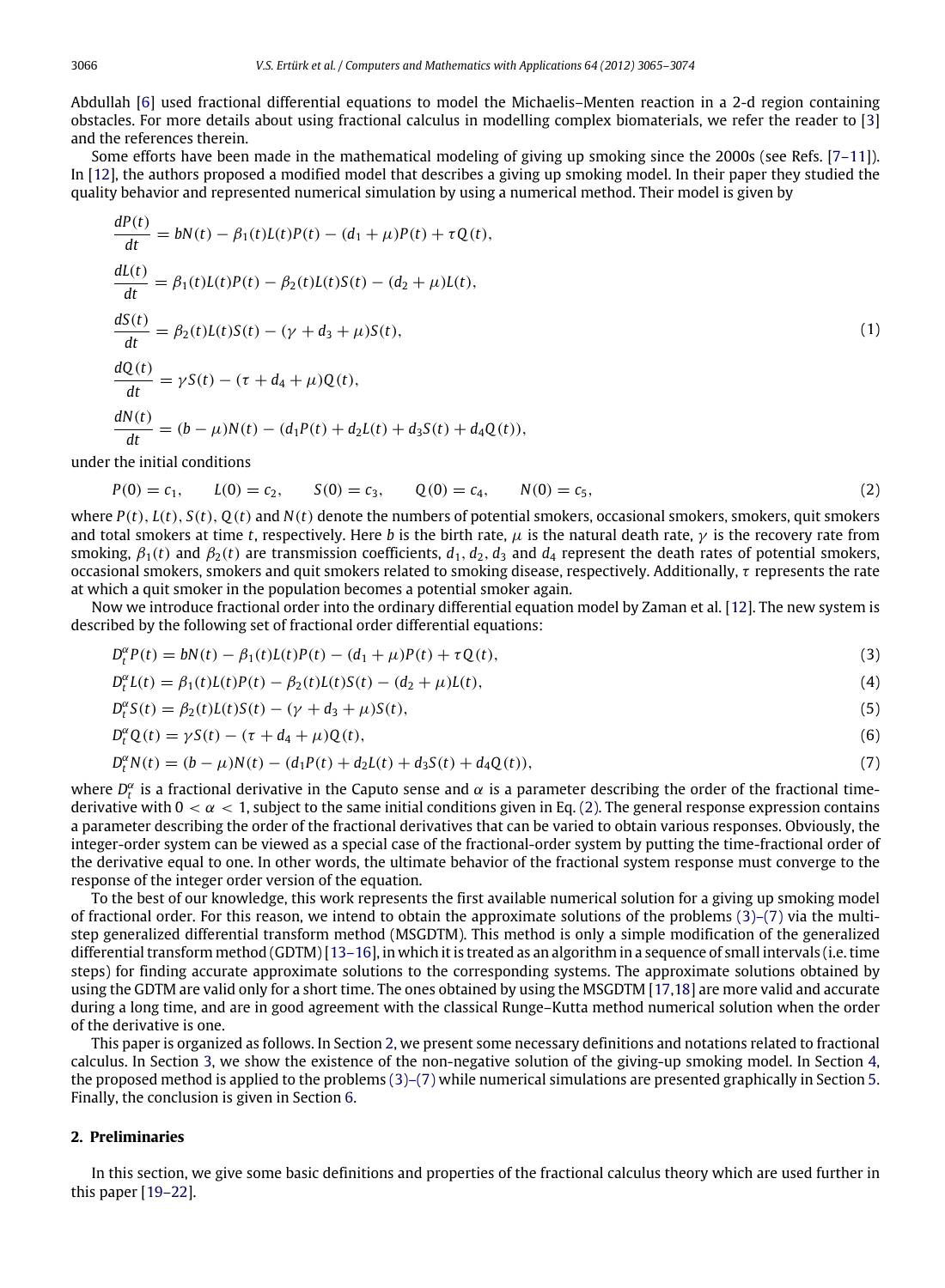Abdullah [\[6\]](#page-8-5) used fractional differential equations to model the Michaelis–Menten reaction in a 2-d region containing obstacles. For more details about using fractional calculus in modelling complex biomaterials, we refer the reader to [\[3\]](#page-8-2) and the references therein.

Some efforts have been made in the mathematical modeling of giving up smoking since the 2000s (see Refs. [\[7–11\]](#page-9-0)). In [\[12\]](#page-9-1), the authors proposed a modified model that describes a giving up smoking model. In their paper they studied the quality behavior and represented numerical simulation by using a numerical method. Their model is given by

$$
\frac{dP(t)}{dt} = bN(t) - \beta_1(t)L(t)P(t) - (d_1 + \mu)P(t) + \tau Q(t),
$$
\n
$$
\frac{dL(t)}{dt} = \beta_1(t)L(t)P(t) - \beta_2(t)L(t)S(t) - (d_2 + \mu)L(t),
$$
\n
$$
\frac{dS(t)}{dt} = \beta_2(t)L(t)S(t) - (\gamma + d_3 + \mu)S(t),
$$
\n
$$
\frac{dQ(t)}{dt} = \gamma S(t) - (\tau + d_4 + \mu)Q(t),
$$
\n
$$
\frac{dN(t)}{dt} = (b - \mu)N(t) - (d_1P(t) + d_2L(t) + d_3S(t) + d_4Q(t)),
$$
\n(1)

under the initial conditions

<span id="page-1-0"></span>
$$
P(0) = c_1, \qquad L(0) = c_2, \qquad S(0) = c_3, \qquad Q(0) = c_4, \qquad N(0) = c_5,\tag{2}
$$

where  $P(t)$ ,  $L(t)$ ,  $S(t)$ ,  $Q(t)$  and  $N(t)$  denote the numbers of potential smokers, occasional smokers, smokers, quit smokers and total smokers at time *t*, respectively. Here *b* is the birth rate,  $\mu$  is the natural death rate,  $\gamma$  is the recovery rate from smoking,  $\beta_1(t)$  and  $\beta_2(t)$  are transmission coefficients,  $d_1, d_2, d_3$  and  $d_4$  represent the death rates of potential smokers, occasional smokers, smokers and quit smokers related to smoking disease, respectively. Additionally, τ represents the rate at which a quit smoker in the population becomes a potential smoker again.

Now we introduce fractional order into the ordinary differential equation model by Zaman et al. [\[12\]](#page-9-1). The new system is described by the following set of fractional order differential equations:

$$
D_t^{\alpha}P(t) = bN(t) - \beta_1(t)L(t)P(t) - (d_1 + \mu)P(t) + \tau Q(t),
$$
\n(3)

$$
D_t^{\alpha}L(t) = \beta_1(t)L(t)P(t) - \beta_2(t)L(t)S(t) - (d_2 + \mu)L(t),
$$
\n(4)

<span id="page-1-1"></span>
$$
D_t^{\alpha} S(t) = \beta_2(t)L(t)S(t) - (\gamma + d_3 + \mu)S(t),
$$
\n(5)

$$
D_t^{\alpha} Q(t) = \gamma S(t) - (\tau + d_4 + \mu) Q(t),
$$
\n(6)

$$
D_t^{\alpha} N(t) = (b - \mu)N(t) - (d_1 P(t) + d_2 L(t) + d_3 S(t) + d_4 Q(t)),
$$
\n(7)

where  $D_t^{\alpha}$  is a fractional derivative in the Caputo sense and  $\alpha$  is a parameter describing the order of the fractional timederivative with  $0 < \alpha < 1$ , subject to the same initial conditions given in Eq. [\(2\).](#page-1-0) The general response expression contains a parameter describing the order of the fractional derivatives that can be varied to obtain various responses. Obviously, the integer-order system can be viewed as a special case of the fractional-order system by putting the time-fractional order of the derivative equal to one. In other words, the ultimate behavior of the fractional system response must converge to the response of the integer order version of the equation.

To the best of our knowledge, this work represents the first available numerical solution for a giving up smoking model of fractional order. For this reason, we intend to obtain the approximate solutions of the problems  $(3)-(7)$  via the multistep generalized differential transform method (MSGDTM). This method is only a simple modification of the generalized differential transform method (GDTM) [\[13–16\]](#page-9-2), in which it is treated as an algorithm in a sequence of small intervals (i.e. time steps) for finding accurate approximate solutions to the corresponding systems. The approximate solutions obtained by using the GDTM are valid only for a short time. The ones obtained by using the MSGDTM [\[17](#page-9-3)[,18\]](#page-9-4) are more valid and accurate during a long time, and are in good agreement with the classical Runge–Kutta method numerical solution when the order of the derivative is one.

This paper is organized as follows. In Section [2,](#page-1-2) we present some necessary definitions and notations related to fractional calculus. In Section [3,](#page-2-0) we show the existence of the non-negative solution of the giving-up smoking model. In Section [4,](#page-3-0) the proposed method is applied to the problems [\(3\)–\(7\)](#page-1-1) while numerical simulations are presented graphically in Section [5.](#page-5-0) Finally, the conclusion is given in Section [6.](#page-7-0)

# <span id="page-1-2"></span>**2. Preliminaries**

In this section, we give some basic definitions and properties of the fractional calculus theory which are used further in this paper [\[19–22\]](#page-9-5).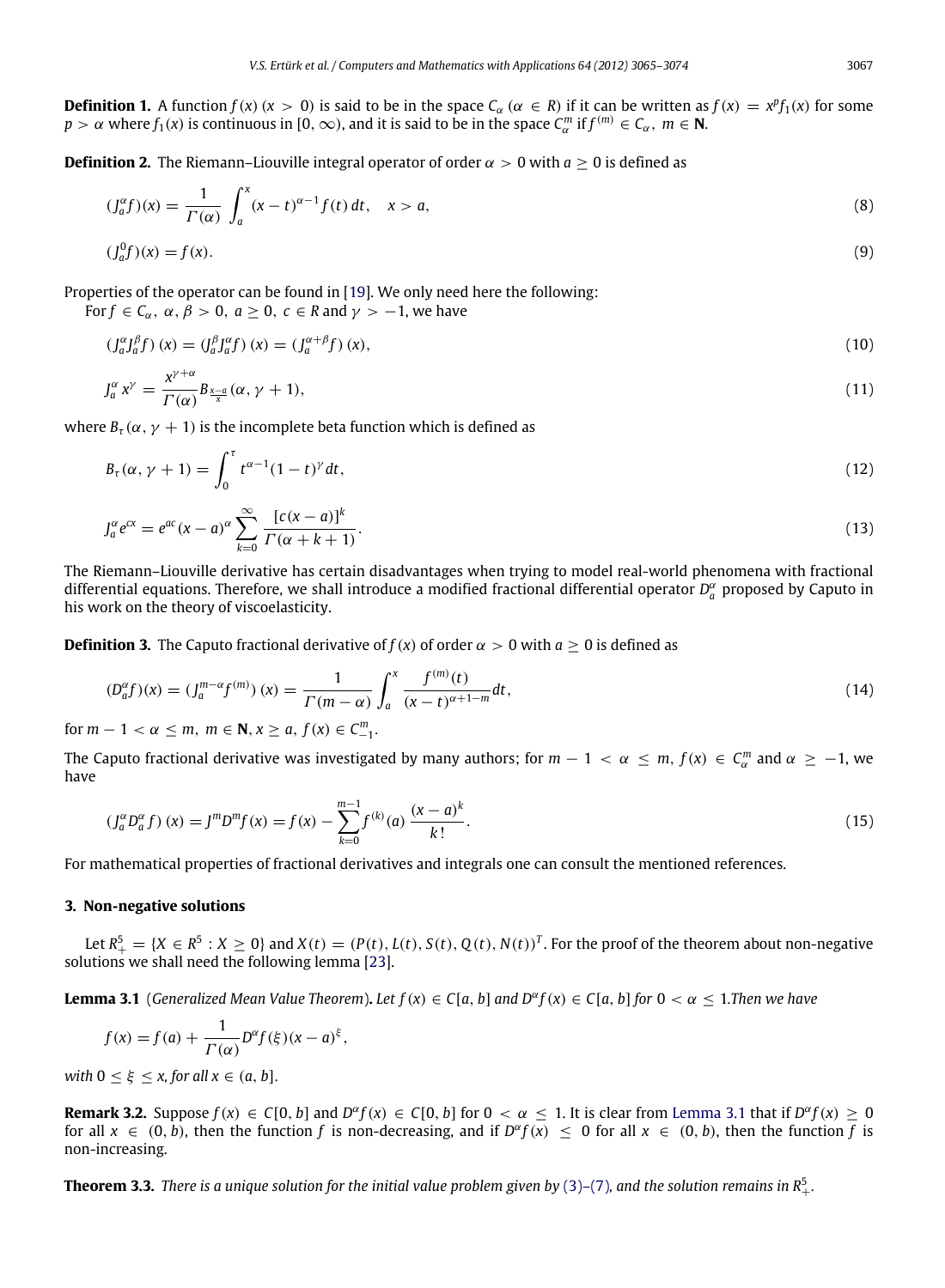**Definition 2.** The Riemann–Liouville integral operator of order  $\alpha > 0$  with  $a \ge 0$  is defined as

$$
(J_a^{\alpha}f)(x) = \frac{1}{\Gamma(\alpha)} \int_a^x (x - t)^{\alpha - 1} f(t) dt, \quad x > a,
$$
\n(8)

$$
(\int_{a}^{0} f)(x) = f(x). \tag{9}
$$

Properties of the operator can be found in [\[19\]](#page-9-5). We only need here the following:

For  $f \in C_\alpha$ ,  $\alpha$ ,  $\beta > 0$ ,  $a \ge 0$ ,  $c \in R$  and  $\gamma > -1$ , we have

$$
\left(\int_{a}^{\alpha} \int_{a}^{\beta} f\right)(x) = \left(\int_{a}^{\beta} \int_{a}^{\alpha} f\right)(x) = \left(\int_{a}^{\alpha+\beta} f\right)(x),\tag{10}
$$

$$
J_a^{\alpha} x^{\gamma} = \frac{x^{\gamma + \alpha}}{\Gamma(\alpha)} B_{\frac{\chi - a}{x}} (\alpha, \gamma + 1), \tag{11}
$$

where  $B_{\tau}(\alpha, \gamma + 1)$  is the incomplete beta function which is defined as

$$
B_{\tau}(\alpha, \gamma + 1) = \int_0^{\tau} t^{\alpha - 1} (1 - t)^{\gamma} dt,
$$
\n(12)

$$
J_a^{\alpha}e^{cx} = e^{ac}(x-a)^{\alpha} \sum_{k=0}^{\infty} \frac{\left[c(x-a)\right]^k}{\Gamma(\alpha+k+1)}.
$$
\n(13)

The Riemann–Liouville derivative has certain disadvantages when trying to model real-world phenomena with fractional differential equations. Therefore, we shall introduce a modified fractional differential operator  $D_a^\alpha$  proposed by Caputo in his work on the theory of viscoelasticity.

**Definition 3.** The Caputo fractional derivative of  $f(x)$  of order  $\alpha > 0$  with  $a \ge 0$  is defined as

$$
(D_a^{\alpha}f)(x) = (J_a^{m-\alpha}f^{(m)})(x) = \frac{1}{\Gamma(m-\alpha)} \int_a^x \frac{f^{(m)}(t)}{(x-t)^{\alpha+1-m}} dt,
$$
\n(14)

for  $m - 1 < \alpha \le m$ ,  $m \in \mathbb{N}, x \ge a$ ,  $f(x) \in C_{-1}^m$ .

The Caputo fractional derivative was investigated by many authors; for  $m-1 < \alpha \le m$ ,  $f(x) \in C_\alpha^m$  and  $\alpha \ge -1$ , we have

$$
(J_a^{\alpha} D_a^{\alpha} f)(x) = J^m D^m f(x) = f(x) - \sum_{k=0}^{m-1} f^{(k)}(a) \frac{(x-a)^k}{k!}.
$$
\n(15)

For mathematical properties of fractional derivatives and integrals one can consult the mentioned references.

## <span id="page-2-0"></span>**3. Non-negative solutions**

Let  $R_+^5 = \{X \in R^5 : X \ge 0\}$  and  $X(t) = (P(t), L(t), S(t), Q(t), N(t))^T$ . For the proof of the theorem about non-negative solutions we shall need the following lemma [\[23\]](#page-9-6).

**Lemma 3.1** (*Generalized Mean Value Theorem*). *Let*  $f(x) \in C[a, b]$  and  $D^{\alpha}f(x) \in C[a, b]$  for  $0 < \alpha \leq 1$ . Then we have

<span id="page-2-1"></span>
$$
f(x) = f(a) + \frac{1}{\Gamma(\alpha)} D^{\alpha} f(\xi) (x - a)^{\xi},
$$

*with*  $0 \leq \xi \leq x$ , for all  $x \in (a, b]$ .

**Remark 3.2.** Suppose  $f(x) \in C[0, b]$  and  $D^{\alpha}f(x) \in C[0, b]$  for  $0 < \alpha \leq 1$ . It is clear from [Lemma 3.1](#page-2-1) that if  $D^{\alpha}f(x) \geq 0$ for all  $x \in (0, b)$ , then the function f is non-decreasing, and if  $D^{\alpha}f(x) \le 0$  for all  $x \in (0, b)$ , then the function f is non-increasing.

 $\bf Theorem~3.3.$  *There is a unique solution for the initial value problem given by [\(3\)–\(7\)](#page-1-1), and the solution remains in*  $R^5_+$ *.*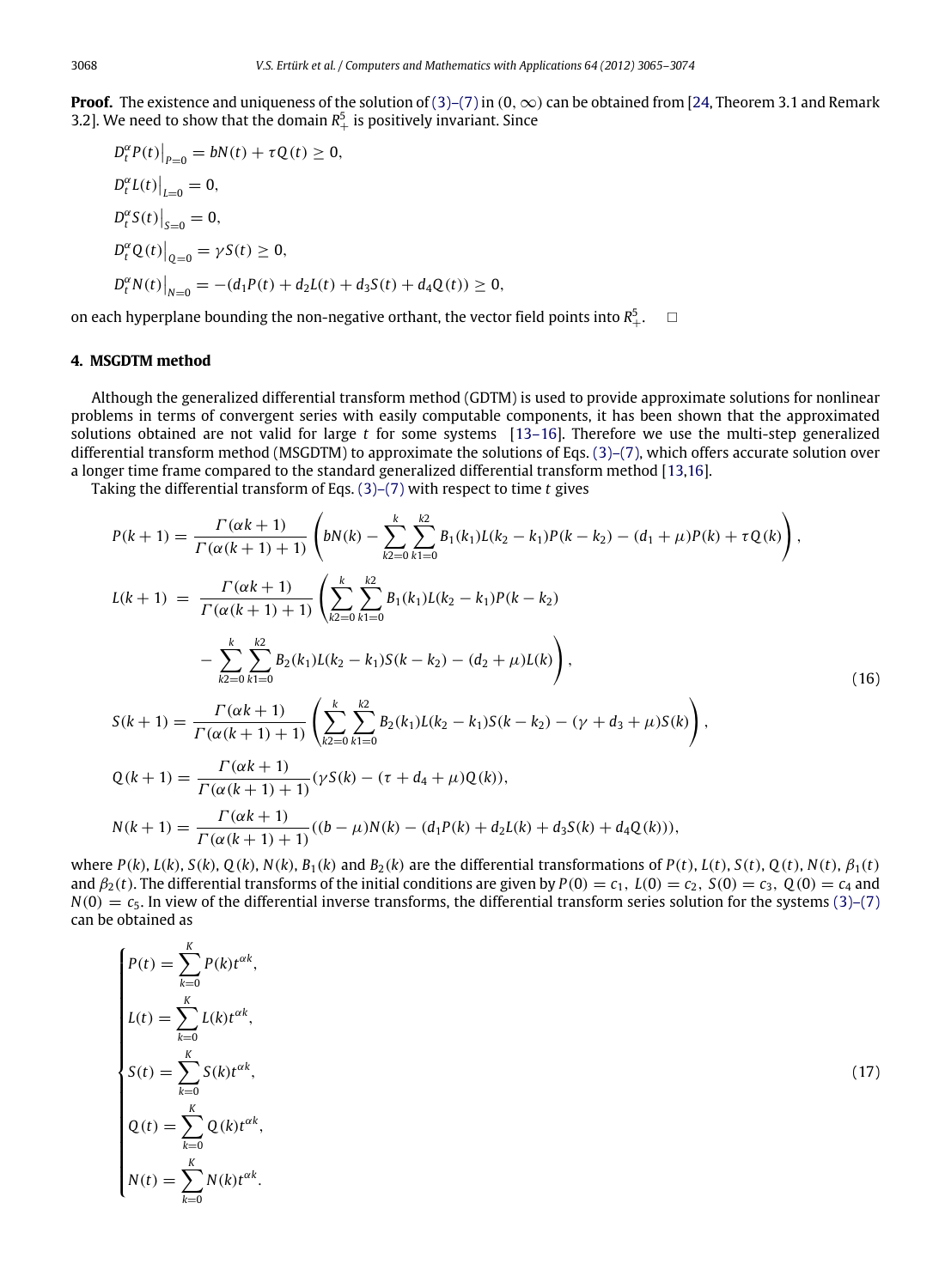**Proof.** The existence and uniqueness of the solution of [\(3\)–\(7\)](#page-1-1) in (0,  $\infty$ ) can be obtained from [\[24,](#page-9-7) Theorem 3.1 and Remark 3.2]. We need to show that the domain  $R_+^5$  is positively invariant. Since

$$
D_t^{\alpha} P(t)|_{P=0} = bN(t) + \tau Q(t) \ge 0,
$$
  
\n
$$
D_t^{\alpha} L(t)|_{L=0} = 0,
$$
  
\n
$$
D_t^{\alpha} S(t)|_{S=0} = 0,
$$
  
\n
$$
D_t^{\alpha} Q(t)|_{Q=0} = \gamma S(t) \ge 0,
$$
  
\n
$$
D_t^{\alpha} N(t)|_{N=0} = -(d_1 P(t) + d_2 L(t) + d_3 S(t) + d_4 Q(t)) \ge 0,
$$

on each hyperplane bounding the non-negative orthant, the vector field points into  $R_+^5$ .  $\quad \Box$ 

# <span id="page-3-0"></span>**4. MSGDTM method**

Although the generalized differential transform method (GDTM) is used to provide approximate solutions for nonlinear problems in terms of convergent series with easily computable components, it has been shown that the approximated solutions obtained are not valid for large *t* for some systems [\[13–16\]](#page-9-2). Therefore we use the multi-step generalized differential transform method (MSGDTM) to approximate the solutions of Eqs. [\(3\)–\(7\),](#page-1-1) which offers accurate solution over a longer time frame compared to the standard generalized differential transform method [\[13,](#page-9-2)[16\]](#page-9-8).

Taking the differential transform of Eqs. [\(3\)–\(7\)](#page-1-1) with respect to time *t* gives

$$
P(k + 1) = \frac{\Gamma(\alpha k + 1)}{\Gamma(\alpha (k + 1) + 1)} \left( bN(k) - \sum_{k=0}^{k} \sum_{k=0}^{k2} B_1(k_1)L(k_2 - k_1)P(k - k_2) - (d_1 + \mu)P(k) + \tau Q(k) \right),
$$
  
\n
$$
L(k + 1) = \frac{\Gamma(\alpha k + 1)}{\Gamma(\alpha (k + 1) + 1)} \left( \sum_{k=0}^{k} \sum_{k=0}^{k2} B_1(k_1)L(k_2 - k_1)P(k - k_2) - \sum_{k=0}^{k} \sum_{k=0}^{k2} B_2(k_1)L(k_2 - k_1)S(k - k_2) - (d_2 + \mu)L(k) \right),
$$
  
\n
$$
S(k + 1) = \frac{\Gamma(\alpha k + 1)}{\Gamma(\alpha (k + 1) + 1)} \left( \sum_{k=0}^{k} \sum_{k=0}^{k2} B_2(k_1)L(k_2 - k_1)S(k - k_2) - (\gamma + d_3 + \mu)S(k) \right),
$$
  
\n
$$
Q(k + 1) = \frac{\Gamma(\alpha k + 1)}{\Gamma(\alpha (k + 1) + 1)} (\gamma S(k) - (\tau + d_4 + \mu)Q(k)),
$$
  
\n
$$
N(k + 1) = \frac{\Gamma(\alpha k + 1)}{\Gamma(\alpha (k + 1) + 1)} ((b - \mu)N(k) - (d_1P(k) + d_2L(k) + d_3S(k) + d_4Q(k))),
$$

where  $P(k)$ ,  $L(k)$ ,  $S(k)$ ,  $Q(k)$ ,  $N(k)$ ,  $B_1(k)$  and  $B_2(k)$  are the differential transformations of  $P(t)$ ,  $L(t)$ ,  $S(t)$ ,  $Q(t)$ ,  $N(t)$ ,  $\beta_1(t)$ and  $\beta_2(t)$ . The differential transforms of the initial conditions are given by  $P(0) = c_1$ ,  $L(0) = c_2$ ,  $S(0) = c_3$ ,  $Q(0) = c_4$  and  $N(0) = c_5$ . In view of the differential inverse transforms, the differential transform series solution for the systems [\(3\)–\(7\)](#page-1-1) can be obtained as

$$
P(t) = \sum_{k=0}^{K} P(k)t^{\alpha k},
$$
  
\n
$$
L(t) = \sum_{k=0}^{K} L(k)t^{\alpha k},
$$
  
\n
$$
S(t) = \sum_{k=0}^{K} S(k)t^{\alpha k},
$$
  
\n
$$
Q(t) = \sum_{k=0}^{K} Q(k)t^{\alpha k},
$$
  
\n
$$
N(t) = \sum_{k=0}^{K} N(k)t^{\alpha k}.
$$
  
\n(17)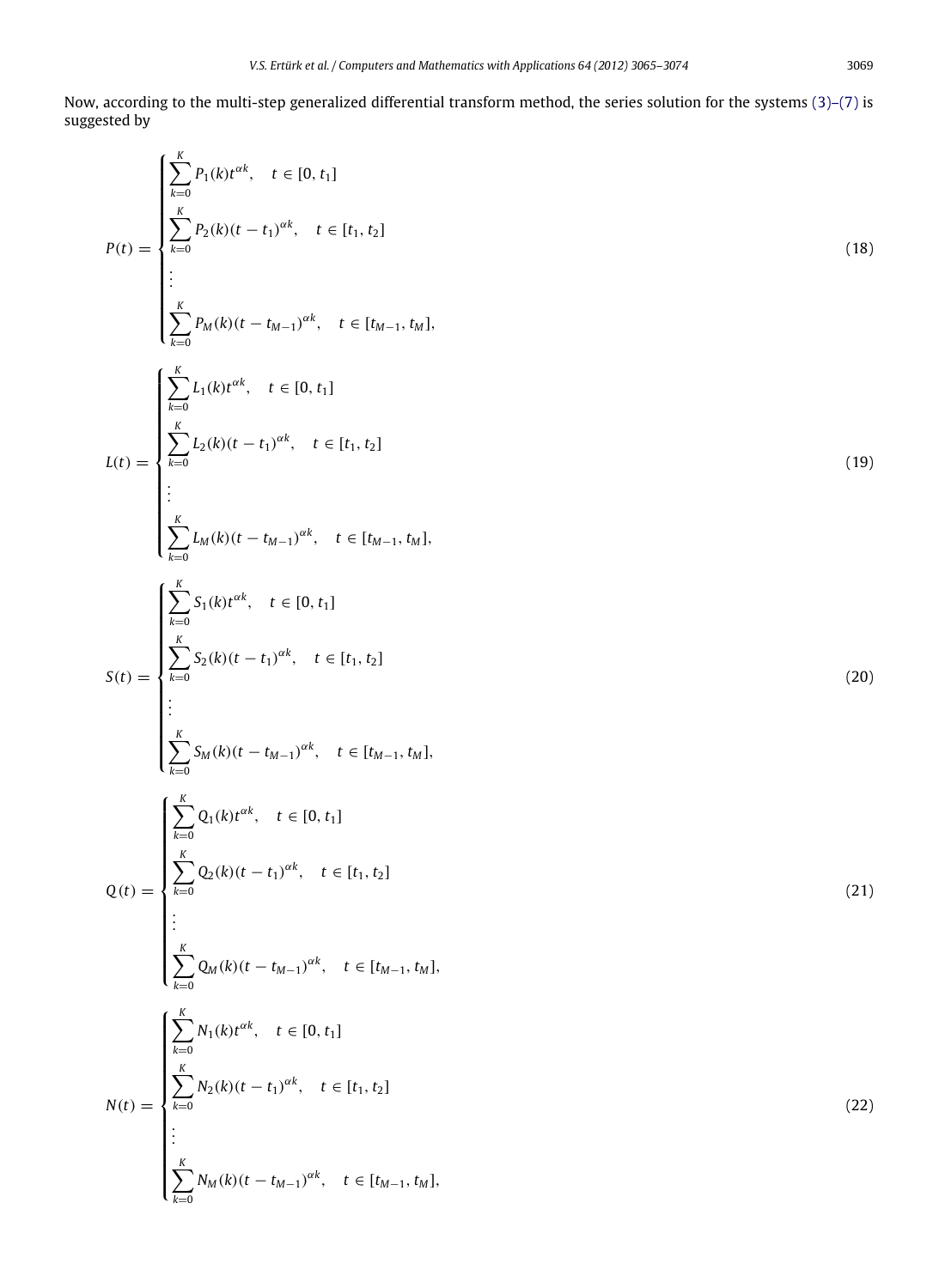<span id="page-4-0"></span>
$$
P(t) = \begin{cases}\n\sum_{k=0}^{K} P_1(k)t^{ck}, & t \in [0, t_1] \\
\sum_{k=0}^{K} P_2(k)(t - t_1)^{ak}, & t \in [t_1, t_2] \\
\vdots \\
\sum_{k=0}^{K} P_M(k)(t - t_{M-1})^{ck}, & t \in [t_{M-1}, t_M], \\
\sum_{k=0}^{K} L_2(k)(t - t_1)^{ak}, & t \in [t_1, t_2]\n\end{cases}
$$
\n
$$
L(t) = \begin{cases}\n\sum_{k=0}^{K} L_2(k)(t - t_1)^{ak}, & t \in [t_1, t_2] \\
\vdots \\
\sum_{k=0}^{K} L_M(k)(t - t_{M-1})^{sk}, & t \in [t_{M-1}, t_M], \\
\sum_{k=0}^{K} \sum_{k=0}^{K} S_1(k)t^{ak}, & t \in [0, t_1]\n\end{cases}
$$
\n
$$
S(t) = \begin{cases}\n\sum_{k=0}^{K} S_1(k)t^{ck}, & t \in [0, t_1] \\
\sum_{k=0}^{K} S_M(k)(t - t_1)^{ak}, & t \in [t_1, t_2] \\
\vdots \\
\sum_{k=0}^{K} S_M(k)(t - t_{M-1})^{ak}, & t \in [t_{M-1}, t_M], \\
\sum_{k=0}^{K} \sum_{k=0}^{K} Q_k(k)(t - t_1)^{ak}, & t \in [t_1, t_2]\n\end{cases}
$$
\n
$$
Q(t) = \begin{cases}\n\sum_{k=0}^{K} Q_1(k)t^{ck}, & t \in [0, t_1] \\
\sum_{k=0}^{K} Q_k(k)(t - t_1)^{ak}, & t \in [t_1, t_2] \\
\vdots \\
\sum_{k=0}^{K} Q_M(k)(t - t_{M-1})^{sk}, & t \in [t_{M-1}, t_M], \\
\sum_{k=0}^{K} N_2(k)(t - t_1)^{sk}, & t \in [t_{M-1}, t_M], \\
\sum_{k=0}^{K} N_M(k)(t - t_{M-1})^{sk}, & t \in [t_{M-1}, t_M],\n\end{cases}
$$
\n
$$
N(t) = \begin{cases}\n\sum_{k=0}^{K} Q_M(k)(t - t_{M-1})^{sk}, & t \in [t_
$$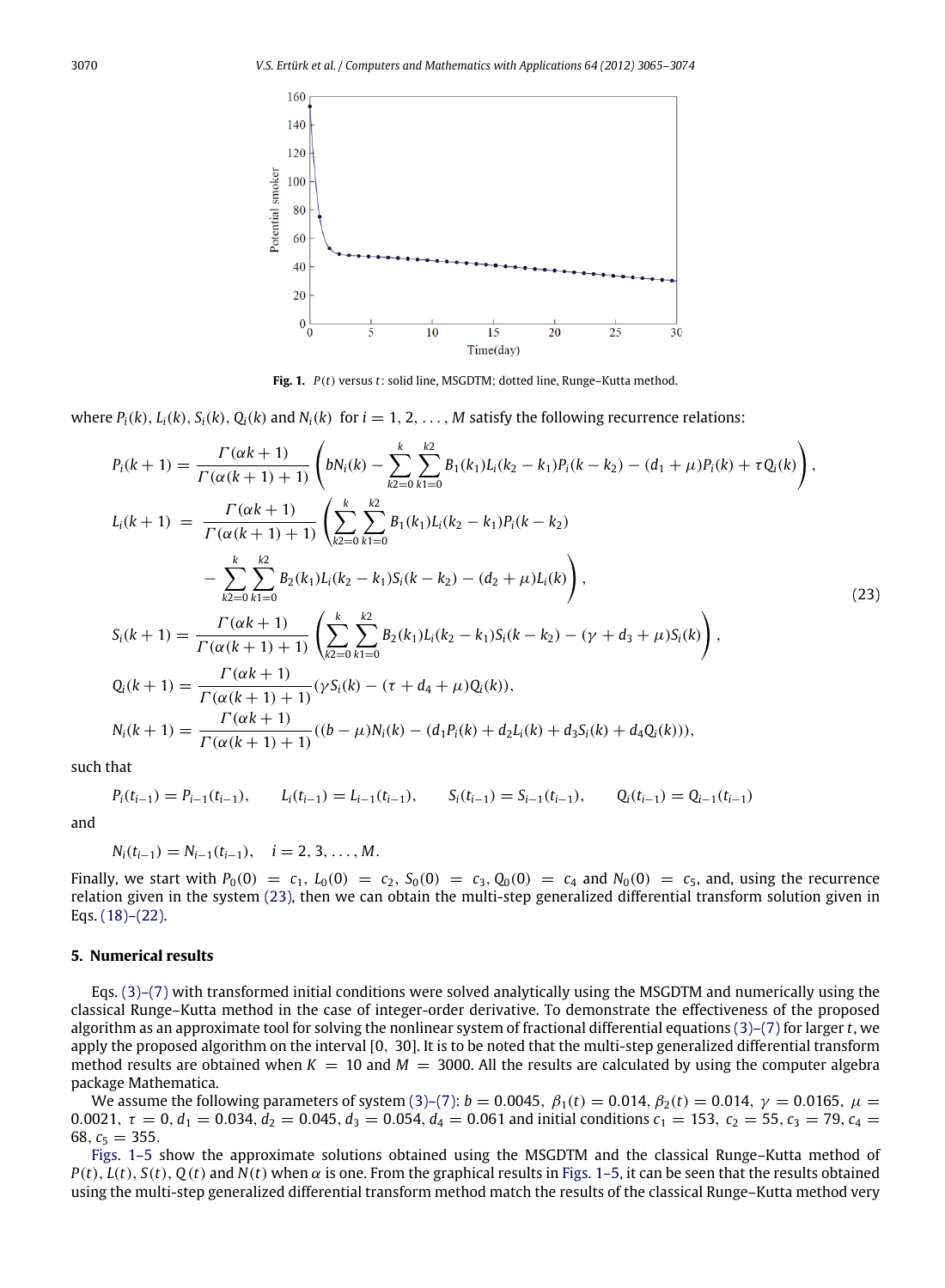<span id="page-5-2"></span>

<span id="page-5-1"></span>**Fig. 1.** *P*(*t*) versus *t*: solid line, MSGDTM; dotted line, Runge–Kutta method.

where  $P_i(k)$ ,  $L_i(k)$ ,  $S_i(k)$ ,  $Q_i(k)$  and  $N_i(k)$  for  $i = 1, 2, ..., M$  satisfy the following recurrence relations:

$$
P_{i}(k+1) = \frac{\Gamma(\alpha k + 1)}{\Gamma(\alpha (k+1) + 1)} \left(bN_{i}(k) - \sum_{k=0}^{k} \sum_{k=0}^{k2} B_{1}(k_{1})L_{i}(k_{2} - k_{1})P_{i}(k - k_{2}) - (d_{1} + \mu)P_{i}(k) + \tau Q_{i}(k)\right),
$$
  
\n
$$
L_{i}(k+1) = \frac{\Gamma(\alpha k + 1)}{\Gamma(\alpha (k+1) + 1)} \left(\sum_{k=0}^{k} \sum_{k=0}^{k2} B_{1}(k_{1})L_{i}(k_{2} - k_{1})P_{i}(k - k_{2}) - \sum_{k=0}^{k} \sum_{k=0}^{k} B_{2}(k_{1})L_{i}(k_{2} - k_{1})S_{i}(k - k_{2}) - (d_{2} + \mu)L_{i}(k)\right),
$$
  
\n
$$
S_{i}(k+1) = \frac{\Gamma(\alpha k + 1)}{\Gamma(\alpha (k+1) + 1)} \left(\sum_{k=0}^{k} \sum_{k=0}^{k2} B_{2}(k_{1})L_{i}(k_{2} - k_{1})S_{i}(k - k_{2}) - (\gamma + d_{3} + \mu)S_{i}(k)\right),
$$
  
\n
$$
Q_{i}(k+1) = \frac{\Gamma(\alpha k + 1)}{\Gamma(\alpha (k+1) + 1)} (\gamma S_{i}(k) - (\tau + d_{4} + \mu)Q_{i}(k)),
$$
  
\n
$$
N_{i}(k+1) = \frac{\Gamma(\alpha k + 1)}{\Gamma(\alpha (k+1) + 1)} ((b - \mu)N_{i}(k) - (d_{1}P_{i}(k) + d_{2}L_{i}(k) + d_{3}S_{i}(k) + d_{4}Q_{i}(k))),
$$

such that

 $P_i(t_{i-1}) = P_{i-1}(t_{i-1}),$   $I_i(t_{i-1}) = I_{i-1}(t_{i-1}),$   $S_i(t_{i-1}) = S_{i-1}(t_{i-1}),$   $Q_i(t_{i-1}) = Q_{i-1}(t_{i-1})$ 

and

$$
N_i(t_{i-1})=N_{i-1}(t_{i-1}), \quad i=2,3,\ldots,M.
$$

Finally, we start with  $P_0(0) = c_1$ ,  $L_0(0) = c_2$ ,  $S_0(0) = c_3$ ,  $Q_0(0) = c_4$  and  $N_0(0) = c_5$ , and, using the recurrence relation given in the system [\(23\),](#page-5-1) then we can obtain the multi-step generalized differential transform solution given in Eqs. [\(18\)–\(22\).](#page-4-0)

#### <span id="page-5-0"></span>**5. Numerical results**

Eqs.  $(3)$ – $(7)$  with transformed initial conditions were solved analytically using the MSGDTM and numerically using the classical Runge–Kutta method in the case of integer-order derivative. To demonstrate the effectiveness of the proposed algorithm as an approximate tool for solving the nonlinear system of fractional differential equations [\(3\)–\(7\)](#page-1-1) for larger *t*, we apply the proposed algorithm on the interval [0, 30]. It is to be noted that the multi-step generalized differential transform method results are obtained when  $K = 10$  and  $M = 3000$ . All the results are calculated by using the computer algebra package Mathematica.

We assume the following parameters of system [\(3\)–\(7\):](#page-1-1)  $b = 0.0045$ ,  $β_1(t) = 0.014$ ,  $β_2(t) = 0.014$ ,  $γ = 0.0165$ ,  $μ =$ 0.0021,  $\tau = 0$ ,  $d_1 = 0.034$ ,  $d_2 = 0.045$ ,  $d_3 = 0.054$ ,  $d_4 = 0.061$  and initial conditions  $c_1 = 153$ ,  $c_2 = 55$ ,  $c_3 = 79$ ,  $c_4 = 0.002$ 68,  $c_5 = 355$ .

[Figs. 1–5](#page-5-2) show the approximate solutions obtained using the MSGDTM and the classical Runge–Kutta method of  $P(t)$ ,  $L(t)$ ,  $S(t)$ ,  $Q(t)$  and  $N(t)$  when  $\alpha$  is one. From the graphical results in [Figs. 1–5,](#page-5-2) it can be seen that the results obtained using the multi-step generalized differential transform method match the results of the classical Runge–Kutta method very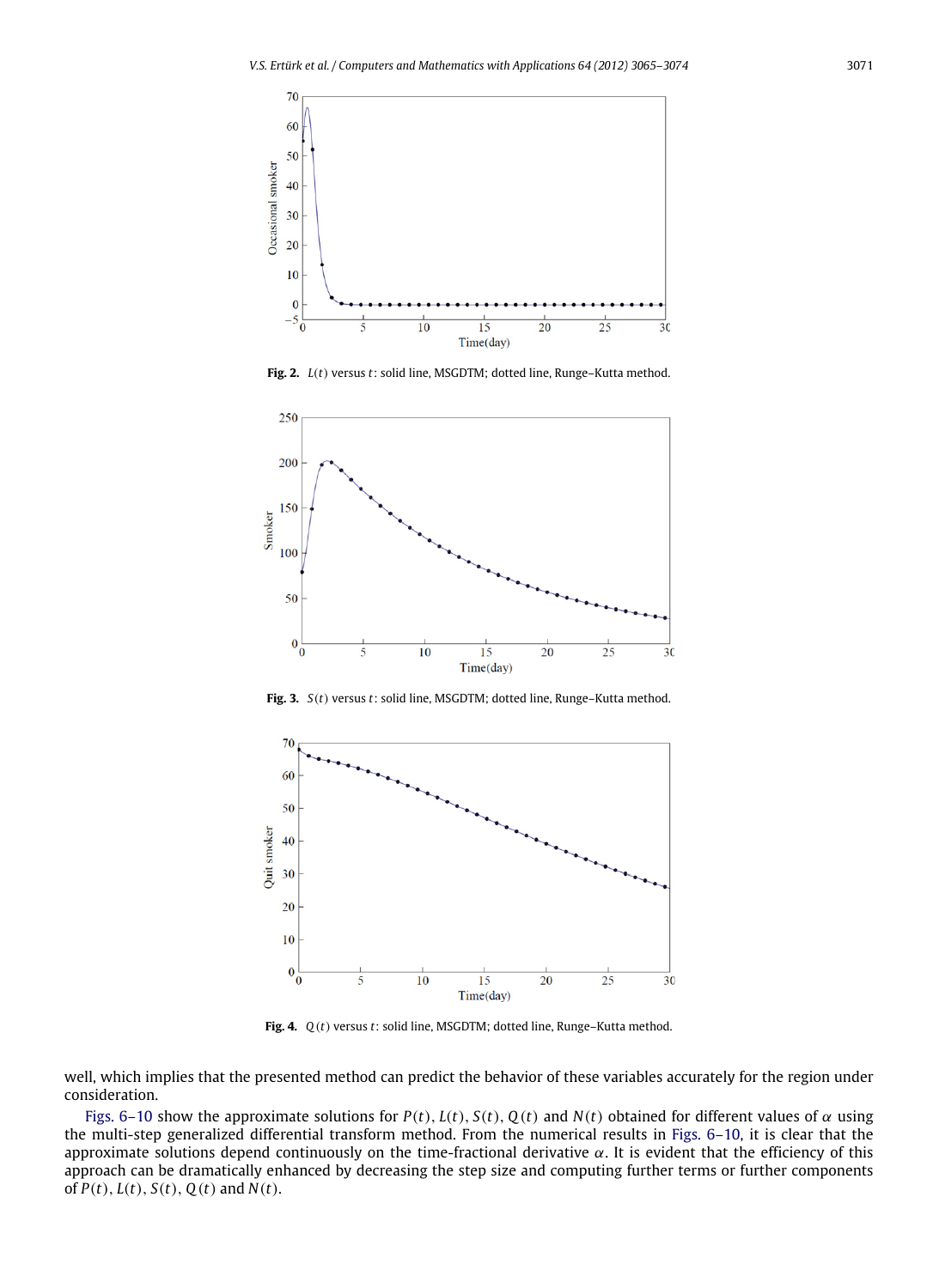

**Fig. 2.** *L*(*t*) versus *t*: solid line, MSGDTM; dotted line, Runge–Kutta method.



**Fig. 3.** *S*(*t*) versus *t*: solid line, MSGDTM; dotted line, Runge–Kutta method.



**Fig. 4.** *Q*(*t*) versus *t*: solid line, MSGDTM; dotted line, Runge–Kutta method.

well, which implies that the presented method can predict the behavior of these variables accurately for the region under consideration.

[Figs. 6–10](#page-7-1) show the approximate solutions for  $P(t)$ ,  $L(t)$ ,  $S(t)$ ,  $Q(t)$  and  $N(t)$  obtained for different values of  $\alpha$  using the multi-step generalized differential transform method. From the numerical results in [Figs. 6–10,](#page-7-1) it is clear that the approximate solutions depend continuously on the time-fractional derivative  $\alpha$ . It is evident that the efficiency of this approach can be dramatically enhanced by decreasing the step size and computing further terms or further components of  $P(t)$ ,  $L(t)$ ,  $S(t)$ ,  $Q(t)$  and  $N(t)$ .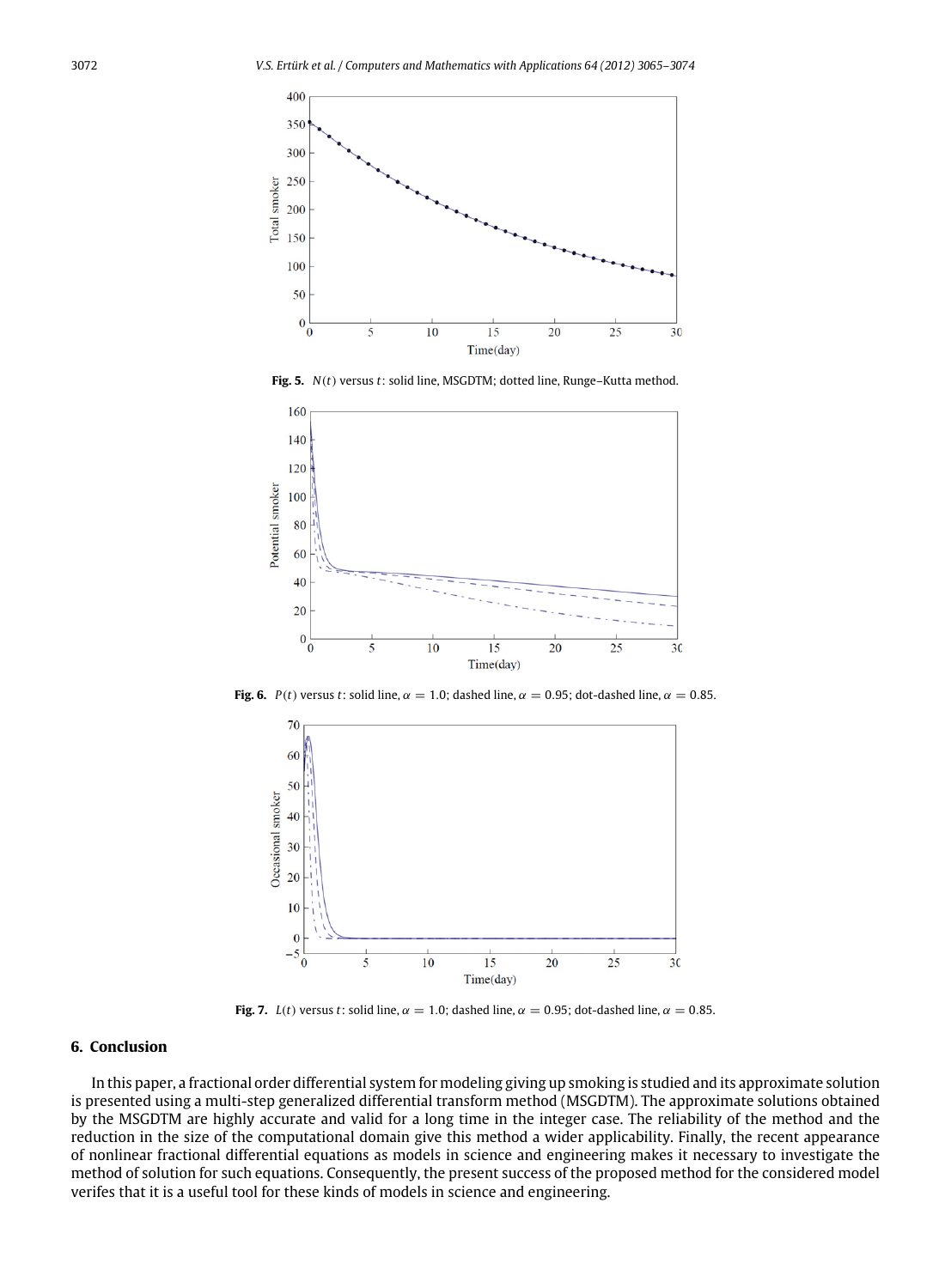

**Fig. 5.** *N*(*t*) versus *t*: solid line, MSGDTM; dotted line, Runge–Kutta method.

<span id="page-7-1"></span>

**Fig. 6.** *P*(*t*) versus *t*: solid line,  $\alpha = 1.0$ ; dashed line,  $\alpha = 0.95$ ; dot-dashed line,  $\alpha = 0.85$ .



**Fig. 7.** *L*(*t*) versus *t*: solid line,  $\alpha = 1.0$ ; dashed line,  $\alpha = 0.95$ ; dot-dashed line,  $\alpha = 0.85$ .

#### <span id="page-7-0"></span>**6. Conclusion**

In this paper, a fractional order differential system for modeling giving up smoking is studied and its approximate solution is presented using a multi-step generalized differential transform method (MSGDTM). The approximate solutions obtained by the MSGDTM are highly accurate and valid for a long time in the integer case. The reliability of the method and the reduction in the size of the computational domain give this method a wider applicability. Finally, the recent appearance of nonlinear fractional differential equations as models in science and engineering makes it necessary to investigate the method of solution for such equations. Consequently, the present success of the proposed method for the considered model verifes that it is a useful tool for these kinds of models in science and engineering.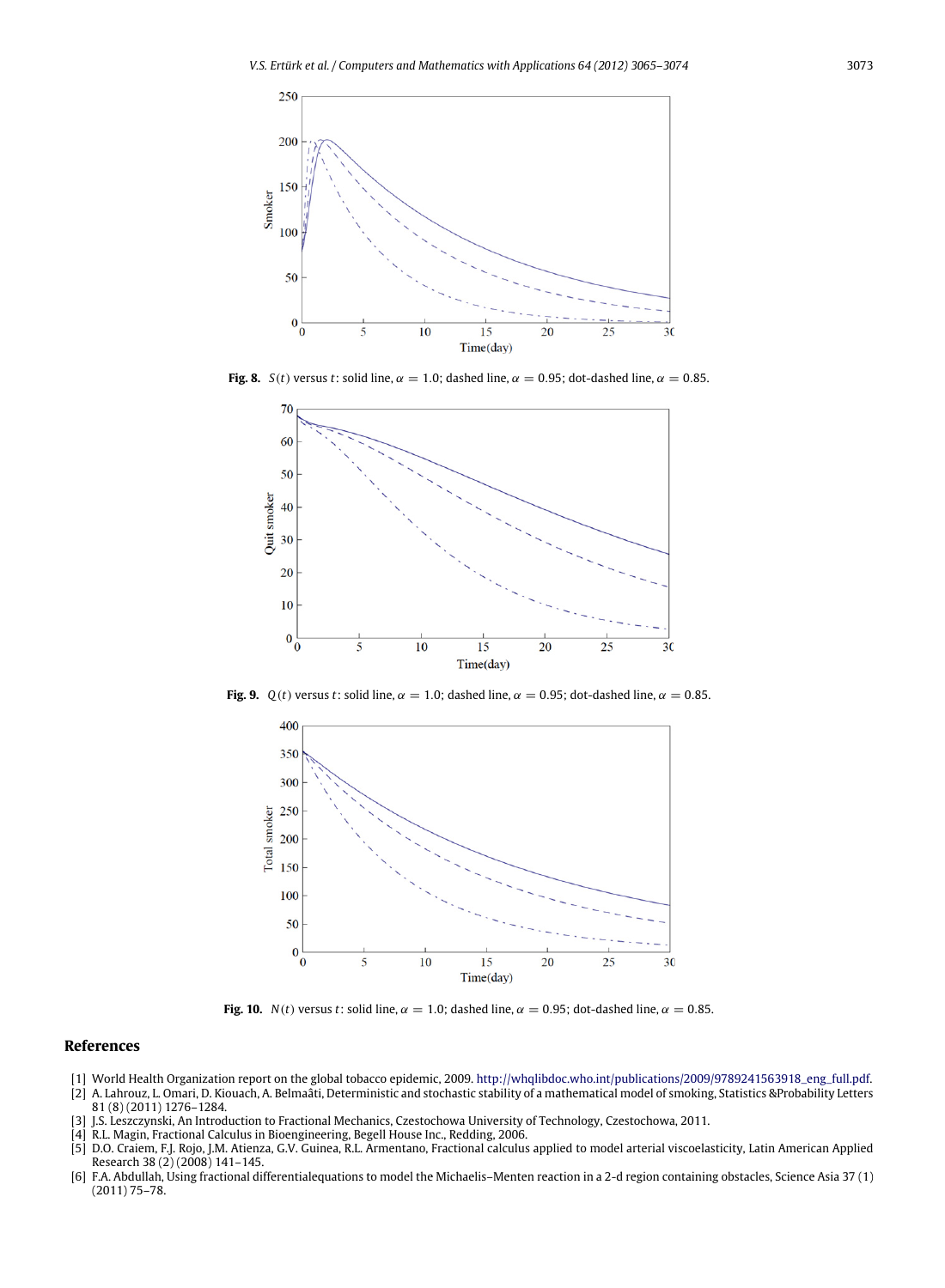

**Fig. 8.** *S*(*t*) versus *t*: solid line,  $\alpha = 1.0$ ; dashed line,  $\alpha = 0.95$ ; dot-dashed line,  $\alpha = 0.85$ .



**Fig. 9.**  $Q(t)$  versus *t*: solid line,  $\alpha = 1.0$ ; dashed line,  $\alpha = 0.95$ ; dot-dashed line,  $\alpha = 0.85$ .



**Fig. 10.** *N*(*t*) versus *t*: solid line,  $\alpha = 1.0$ ; dashed line,  $\alpha = 0.95$ ; dot-dashed line,  $\alpha = 0.85$ .

## **References**

- <span id="page-8-0"></span>[1] World Health Organization report on the global tobacco epidemic, 2009. [http://whqlibdoc.who.int/publications/2009/9789241563918\\_eng\\_full.pdf.](http://whqlibdoc.who.int/publications/2009/9789241563918_eng_full.pdf)
- <span id="page-8-1"></span>[2] A. Lahrouz, L. Omari, D. Kiouach, A. Belmaâti, Deterministic and stochastic stability of a mathematical model of smoking, Statistics &Probability Letters 81 (8) (2011) 1276–1284.
- <span id="page-8-2"></span>[3] J.S. Leszczynski, An Introduction to Fractional Mechanics, Czestochowa University of Technology, Czestochowa, 2011.
- <span id="page-8-3"></span>[4] R.L. Magin, Fractional Calculus in Bioengineering, Begell House Inc., Redding, 2006.
- <span id="page-8-4"></span>[5] D.O. Craiem, F.J. Rojo, J.M. Atienza, G.V. Guinea, R.L. Armentano, Fractional calculus applied to model arterial viscoelasticity, Latin American Applied Research 38 (2) (2008) 141–145.
- <span id="page-8-5"></span>[6] F.A. Abdullah, Using fractional differentialequations to model the Michaelis–Menten reaction in a 2-d region containing obstacles, Science Asia 37 (1) (2011) 75–78.